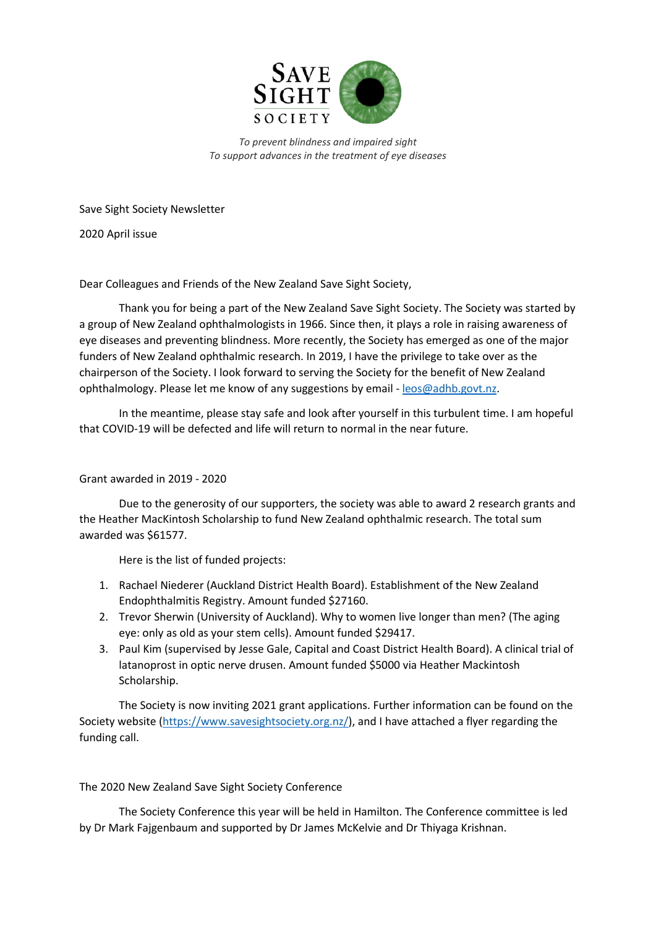

*To prevent blindness and impaired sight To support advances in the treatment of eye diseases*

Save Sight Society Newsletter

2020 April issue

Dear Colleagues and Friends of the New Zealand Save Sight Society,

Thank you for being a part of the New Zealand Save Sight Society. The Society was started by a group of New Zealand ophthalmologists in 1966. Since then, it plays a role in raising awareness of eye diseases and preventing blindness. More recently, the Society has emerged as one of the major funders of New Zealand ophthalmic research. In 2019, I have the privilege to take over as the chairperson of the Society. I look forward to serving the Society for the benefit of New Zealand ophthalmology. Please let me know of any suggestions by email - [leos@adhb.govt.nz.](mailto:leos@adhb.govt.nz)

In the meantime, please stay safe and look after yourself in this turbulent time. I am hopeful that COVID-19 will be defected and life will return to normal in the near future.

## Grant awarded in 2019 - 2020

Due to the generosity of our supporters, the society was able to award 2 research grants and the Heather MacKintosh Scholarship to fund New Zealand ophthalmic research. The total sum awarded was \$61577.

Here is the list of funded projects:

- 1. Rachael Niederer (Auckland District Health Board). Establishment of the New Zealand Endophthalmitis Registry. Amount funded \$27160.
- 2. Trevor Sherwin (University of Auckland). Why to women live longer than men? (The aging eye: only as old as your stem cells). Amount funded \$29417.
- 3. Paul Kim (supervised by Jesse Gale, Capital and Coast District Health Board). A clinical trial of latanoprost in optic nerve drusen. Amount funded \$5000 via Heather Mackintosh Scholarship.

The Society is now inviting 2021 grant applications. Further information can be found on the Society website [\(https://www.savesightsociety.org.nz/\)](https://www.savesightsociety.org.nz/), and I have attached a flyer regarding the funding call.

## The 2020 New Zealand Save Sight Society Conference

The Society Conference this year will be held in Hamilton. The Conference committee is led by Dr Mark Fajgenbaum and supported by Dr James McKelvie and Dr Thiyaga Krishnan.